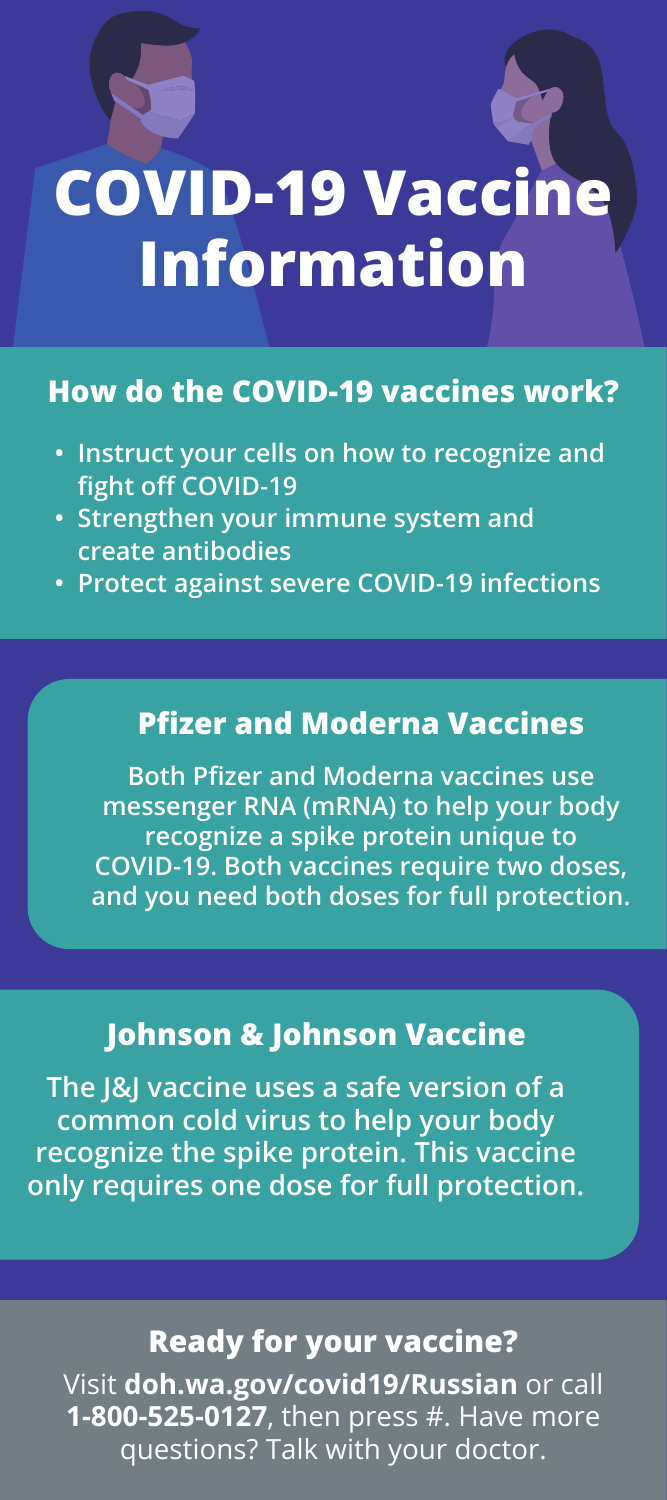# **COVID-19 Vaccine Information**

### **How do the COVID-19 vaccines work?**

- **Instruct your cells on how to recognize and fight off COVID-19**
- **Strengthen your immune system and create antibodies**
- **Protect against severe COVID-19 infections**

#### **Pfizer and Moderna Vaccines**

**Both Pfizer and Moderna vaccines use messenger RNA (mRNA) to help your body recognize a spike protein unique to COVID-19. Both vaccines require two doses, and you need both doses for full protection.**

#### **Johnson & Johnson Vaccine**

**The J&J vaccine uses a safe version of a common cold virus to help your body recognize the spike protein. This vaccine only requires one dose for full protection.**

#### **Ready for your vaccine?**

Visit **doh.wa.gov/covid19/Russian** or call **1-800-525-0127**, then press #. Have more questions? Talk with your doctor.